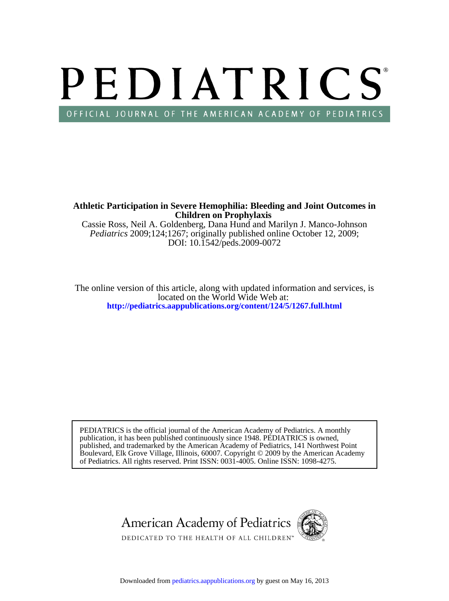# PEDIATRICS OFFICIAL JOURNAL OF THE AMERICAN ACADEMY OF PEDIATRICS

**Children on Prophylaxis Athletic Participation in Severe Hemophilia: Bleeding and Joint Outcomes in**

DOI: 10.1542/peds.2009-0072 *Pediatrics* 2009;124;1267; originally published online October 12, 2009; Cassie Ross, Neil A. Goldenberg, Dana Hund and Marilyn J. Manco-Johnson

**<http://pediatrics.aappublications.org/content/124/5/1267.full.html>** located on the World Wide Web at: The online version of this article, along with updated information and services, is

of Pediatrics. All rights reserved. Print ISSN: 0031-4005. Online ISSN: 1098-4275. Boulevard, Elk Grove Village, Illinois, 60007. Copyright © 2009 by the American Academy published, and trademarked by the American Academy of Pediatrics, 141 Northwest Point publication, it has been published continuously since 1948. PEDIATRICS is owned, PEDIATRICS is the official journal of the American Academy of Pediatrics. A monthly

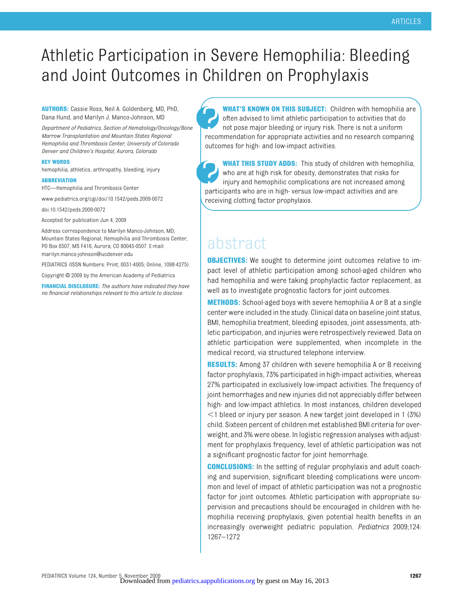# Athletic Participation in Severe Hemophilia: Bleeding and Joint Outcomes in Children on Prophylaxis

**AUTHORS:** Cassie Ross, Neil A. Goldenberg, MD, PhD, Dana Hund, and Marilyn J. Manco-Johnson, MD

*Department of Pediatrics, Section of Hematology/Oncology/Bone Marrow Transplantation and Mountain States Regional Hemophilia and Thrombosis Center, University of Colorado Denver and Children's Hospital, Aurora, Colorado*

#### **KEY WORDS**

hemophilia, athletics, arthropathy, bleeding, injury

#### **ABBREVIATION**

HTC—Hemophilia and Thrombosis Center

www.pediatrics.org/cgi/doi/10.1542/peds.2009-0072

doi:10.1542/peds.2009-0072

Accepted for publication Jun 4, 2009

Address correspondence to Marilyn Manco-Johnson, MD, Mountain States Regional, Hemophilia and Thrombosis Center, PO Box 6507, MS F416, Aurora, CO 80045-0507. E-mail: marilyn.manco-johnson@ucdenver.edu

PEDIATRICS (ISSN Numbers: Print, 0031-4005; Online, 1098-4275).

Copyright © 2009 by the American Academy of Pediatrics

**FINANCIAL DISCLOSURE:** *The authors have indicated they have no financial relationships relevant to this article to disclose.*

**WHAT'S KNOWN ON THIS SUBJECT:** Children with hemophilia are often advised to limit athletic participation to activities that do not pose major bleeding or injury risk. There is not a uniform recommendation for appropriate activities and no research comparing outcomes for high- and low-impact activities.

**WHAT THIS STUDY ADDS:** This study of children with hemophilia, who are at high risk for obesity, demonstrates that risks for injury and hemophilic complications are not increased among participants who are in high- versus low-impact activities and are receiving clotting factor prophylaxis.

# abstract

**OBJECTIVES:** We sought to determine joint outcomes relative to impact level of athletic participation among school-aged children who had hemophilia and were taking prophylactic factor replacement, as well as to investigate prognostic factors for joint outcomes.

**METHODS:** School-aged boys with severe hemophilia A or B at a single center were included in the study. Clinical data on baseline joint status, BMI, hemophilia treatment, bleeding episodes, joint assessments, athletic participation, and injuries were retrospectively reviewed. Data on athletic participation were supplemented, when incomplete in the medical record, via structured telephone interview.

**RESULTS:** Among 37 children with severe hemophilia A or B receiving factor prophylaxis, 73% participated in high-impact activities, whereas 27% participated in exclusively low-impact activities. The frequency of joint hemorrhages and new injuries did not appreciably differ between high- and low-impact athletics. In most instances, children developed  $1$  bleed or injury per season. A new target joint developed in 1 (3%) child. Sixteen percent of children met established BMI criteria for overweight, and 3% were obese. In logistic regression analyses with adjustment for prophylaxis frequency, level of athletic participation was not a significant prognostic factor for joint hemorrhage.

**CONCLUSIONS:** In the setting of regular prophylaxis and adult coaching and supervision, significant bleeding complications were uncommon and level of impact of athletic participation was not a prognostic factor for joint outcomes. Athletic participation with appropriate supervision and precautions should be encouraged in children with hemophilia receiving prophylaxis, given potential health benefits in an increasingly overweight pediatric population. *Pediatrics* 2009;124: 1267–1272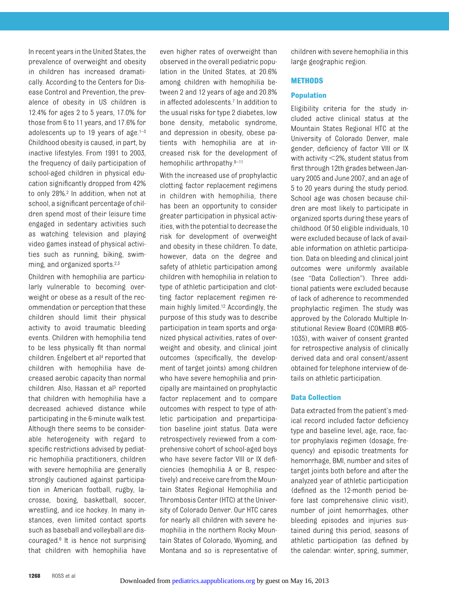In recent years in the United States, the prevalence of overweight and obesity in children has increased dramatically. According to the Centers for Disease Control and Prevention, the prevalence of obesity in US children is 12.4% for ages 2 to 5 years, 17.0% for those from 6 to 11 years, and 17.6% for adolescents up to 19 years of age. $1-3$ Childhood obesity is caused, in part, by inactive lifestyles. From 1991 to 2003, the frequency of daily participation of school-aged children in physical education significantly dropped from 42% to only 28%.2 In addition, when not at school, a significant percentage of children spend most of their leisure time engaged in sedentary activities such as watching television and playing video games instead of physical activities such as running, biking, swimming, and organized sports.<sup>2,3</sup>

Children with hemophilia are particularly vulnerable to becoming overweight or obese as a result of the recommendation or perception that these children should limit their physical activity to avoid traumatic bleeding events. Children with hemophilia tend to be less physically fit than normal children. Engelbert et al4 reported that children with hemophilia have decreased aerobic capacity than normal children. Also, Hassan et al<sup>5</sup> reported that children with hemophilia have a decreased achieved distance while participating in the 6-minute walk test. Although there seems to be considerable heterogeneity with regard to specific restrictions advised by pediatric hemophilia practitioners, children with severe hemophilia are generally strongly cautioned against participation in American football, rugby, lacrosse, boxing, basketball, soccer, wrestling, and ice hockey. In many instances, even limited contact sports such as baseball and volleyball are discouraged.6 It is hence not surprising that children with hemophilia have

even higher rates of overweight than observed in the overall pediatric population in the United States, at 20.6% among children with hemophilia between 2 and 12 years of age and 20.8% in affected adolescents.7 In addition to the usual risks for type 2 diabetes, low bone density, metabolic syndrome, and depression in obesity, obese patients with hemophilia are at increased risk for the development of hemophilic arthropathy.<sup>8–11</sup>

With the increased use of prophylactic clotting factor replacement regimens in children with hemophilia, there has been an opportunity to consider greater participation in physical activities, with the potential to decrease the risk for development of overweight and obesity in these children. To date, however, data on the degree and safety of athletic participation among children with hemophilia in relation to type of athletic participation and clotting factor replacement regimen remain highly limited.12 Accordingly, the purpose of this study was to describe participation in team sports and organized physical activities, rates of overweight and obesity, and clinical joint outcomes (specifically, the development of target joints) among children who have severe hemophilia and principally are maintained on prophylactic factor replacement and to compare outcomes with respect to type of athletic participation and preparticipation baseline joint status. Data were retrospectively reviewed from a comprehensive cohort of school-aged boys who have severe factor VIII or IX deficiencies (hemophilia A or B, respectively) and receive care from the Mountain States Regional Hemophilia and Thrombosis Center (HTC) at the University of Colorado Denver. Our HTC cares for nearly all children with severe hemophilia in the northern Rocky Mountain States of Colorado, Wyoming, and Montana and so is representative of children with severe hemophilia in this large geographic region.

# **METHODS**

# **Population**

Eligibility criteria for the study included active clinical status at the Mountain States Regional HTC at the University of Colorado Denver, male gender, deficiency of factor VIII or IX with activity  $<$  2%, student status from first through 12th grades between January 2005 and June 2007, and an age of 5 to 20 years during the study period. School age was chosen because children are most likely to participate in organized sports during these years of childhood. Of 50 eligible individuals, 10 were excluded because of lack of available information on athletic participation. Data on bleeding and clinical joint outcomes were uniformly available (see "Data Collection"). Three additional patients were excluded because of lack of adherence to recommended prophylactic regimen. The study was approved by the Colorado Multiple Institutional Review Board (COMIRB #05- 1035), with waiver of consent granted for retrospective analysis of clinically derived data and oral consent/assent obtained for telephone interview of details on athletic participation.

## **Data Collection**

Data extracted from the patient's medical record included factor deficiency type and baseline level, age, race, factor prophylaxis regimen (dosage, frequency) and episodic treatments for hemorrhage, BMI, number and sites of target joints both before and after the analyzed year of athletic participation (defined as the 12-month period before last comprehensive clinic visit), number of joint hemorrhages, other bleeding episodes and injuries sustained during this period, seasons of athletic participation (as defined by the calendar: winter, spring, summer,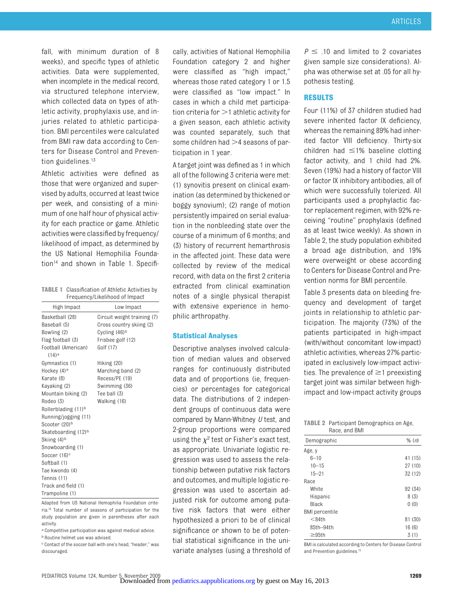fall, with minimum duration of 8 weeks), and specific types of athletic activities. Data were supplemented, when incomplete in the medical record, via structured telephone interview, which collected data on types of athletic activity, prophylaxis use, and injuries related to athletic participation. BMI percentiles were calculated from BMI raw data according to Centers for Disease Control and Prevention guidelines.<sup>13</sup>

Athletic activities were defined as those that were organized and supervised by adults, occurred at least twice per week, and consisting of a minimum of one half hour of physical activity for each practice or game. Athletic activities were classified by frequency/ likelihood of impact, as determined by the US National Hemophilia Foundation<sup>14</sup> and shown in Table 1. Specifi-

**TABLE 1** Classification of Athletic Activities by

|                                       | Frequency/Likelihood of Impact |
|---------------------------------------|--------------------------------|
| High Impact                           | Low Impact                     |
| Basketball (28)                       | Circuit weight training (7)    |
| Baseball (5)                          | Cross country skiing (2)       |
| Bowling (2)                           | Cycling (46) <sup>b</sup>      |
| Flag football (3)                     | Frisbee golf (12)              |
| Football (American)<br>$(14)^a$       | Golf (17)                      |
| Gymnastics (1)                        | Hiking (20)                    |
| Hockey (4) <sup>a</sup>               | Marching band (2)              |
| Karate (8)                            | Recess/PE (19)                 |
| Kayaking (2)                          | Swimming (36)                  |
| Mountain biking (2)                   | Tee ball (3)                   |
| Rodeo (3)                             | Walking (16)                   |
| Rollerblading (11) <sup>b</sup>       |                                |
| Running/jogging (11)<br>Scooter (20)b |                                |
| Skateboarding (12) <sup>b</sup>       |                                |
| Skiing (4) <sup>b</sup>               |                                |
| Snowboarding (1)                      |                                |
| Soccer (16) <sup>c</sup>              |                                |
| Softball (1)                          |                                |
| Tae kwondo (4)                        |                                |
| Tennis (11)                           |                                |
| Track and field (1)                   |                                |
| Trampoline (1)                        |                                |

Adapted from US National Hemophilia Foundation criteria.16 Total number of seasons of participation for the study population are given in parentheses after each activity.

a Competitive participation was against medical advice. b Routine helmet use was advised.

c Contact of the soccer ball with one's head, "header," was discouraged.

cally, activities of National Hemophilia Foundation category 2 and higher were classified as "high impact," whereas those rated category 1 or 1.5 were classified as "low impact." In cases in which a child met participation criteria for  $>$  1 athletic activity for a given season, each athletic activity was counted separately, such that some children had  $>4$  seasons of participation in 1 year.

A target joint was defined as 1 in which all of the following 3 criteria were met: (1) synovitis present on clinical examination (as determined by thickened or boggy synovium); (2) range of motion persistently impaired on serial evaluation in the nonbleeding state over the course of a minimum of 6 months; and (3) history of recurrent hemarthrosis in the affected joint. These data were collected by review of the medical record, with data on the first 2 criteria extracted from clinical examination notes of a single physical therapist with extensive experience in hemophilic arthropathy.

# **Statistical Analyses**

Descriptive analyses involved calculation of median values and observed ranges for continuously distributed data and of proportions (ie, frequencies) or percentages for categorical data. The distributions of 2 independent groups of continuous data were compared by Mann-Whitney *U* test, and 2-group proportions were compared using the  $\chi^2$  test or Fisher's exact test, as appropriate. Univariate logistic regression was used to assess the relationship between putative risk factors and outcomes, and multiple logistic regression was used to ascertain adjusted risk for outcome among putative risk factors that were either hypothesized a priori to be of clinical significance or shown to be of potential statistical significance in the univariate analyses (using a threshold of

 $P \leq 10$  and limited to 2 covariates given sample size considerations). Alpha was otherwise set at .05 for all hypothesis testing.

#### **RESULTS**

Four (11%) of 37 children studied had severe inherited factor IX deficiency, whereas the remaining 89% had inherited factor VIII deficiency. Thirty-six children had  $\leq$ 1% baseline clotting factor activity, and 1 child had 2%. Seven (19%) had a history of factor VIII or factor IX inhibitory antibodies, all of which were successfully tolerized. All participants used a prophylactic factor replacement regimen, with 92% receiving "routine" prophylaxis (defined as at least twice weekly). As shown in Table 2, the study population exhibited a broad age distribution, and 19% were overweight or obese according to Centers for Disease Control and Prevention norms for BMI percentile.

Table 3 presents data on bleeding frequency and development of target joints in relationship to athletic participation. The majority (73%) of the patients participated in high-impact (with/without concomitant low-impact) athletic activities, whereas 27% participated in exclusively low-impact activities. The prevalence of  $\geq$ 1 preexisting target joint was similar between highimpact and low-impact activity groups

#### **TABLE 2** Participant Demographics on Age, Race, and BMI

| Demographic           | % (n)   |
|-----------------------|---------|
| Age, y                |         |
| $6 - 10$              | 41 (15) |
| $10 - 15$             | 27(10)  |
| $15 - 21$             | 32 (12) |
| Race                  |         |
| White                 | 92 (34) |
| Hispanic              | 8(3)    |
| Black                 | 0(0)    |
| <b>BMI</b> percentile |         |
| $<$ 84th              | 81 (30) |
| 85th-94th             | 16(6)   |
| $\geq 95$ th          | 3(1)    |

BMI is calculated according to Centers for Disease Control and Prevention guidelines.15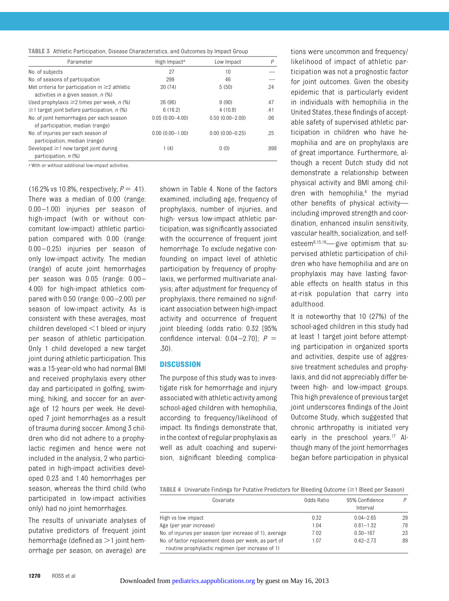|  | <b>TABLE 3</b> Athletic Participation, Disease Characteristics, and Outcomes by Impact Group |  |  |  |  |  |  |
|--|----------------------------------------------------------------------------------------------|--|--|--|--|--|--|
|--|----------------------------------------------------------------------------------------------|--|--|--|--|--|--|

| Parameter                                                                                  | High Impact <sup>a</sup> | Low Impact          | P    |
|--------------------------------------------------------------------------------------------|--------------------------|---------------------|------|
| No. of subjects                                                                            | 27                       | 10                  |      |
| No. of seasons of participation                                                            | 299                      | 46                  |      |
| Met criteria for participation in $\geq$ 2 athletic<br>activities in a given season, n (%) | 20(74)                   | 5(50)               | .24  |
| Used prophylaxis $\geq$ 2 times per week, n (%)                                            | 26 (96)                  | 9(90)               | .47  |
| $\geq$ 1 target joint before participation, n (%)                                          | 6(16.2)                  | 4(10.8)             | .41  |
| No. of joint hemorrhages per each season<br>of participation, median (range)               | $0.05(0.00-4.00)$        | $0.50(0.00 - 2.00)$ | .06  |
| No. of injuries per each season of<br>participation, median (range)                        | $0.00(0.00 - 1.00)$      | $0.00(0.00 - 0.25)$ | .25  |
| Developed $\geq$ 1 new target joint during<br>participation, n (%)                         | 1(4)                     | 0(0)                | .998 |

a With or without additional low-impact activities.

(16.2% vs 10.8%, respectively;  $P = .41$ ). There was a median of 0.00 (range: 0.00 –1.00) injuries per season of high-impact (with or without concomitant low-impact) athletic participation compared with 0.00 (range: 0.00 – 0.25) injuries per season of only low-impact activity. The median (range) of acute joint hemorrhages per season was 0.05 (range: 0.00 – 4.00) for high-impact athletics compared with 0.50 (range: 0.00 –2.00) per season of low-impact activity. As is consistent with these averages, most children developed  $\leq$ 1 bleed or injury per season of athletic participation. Only 1 child developed a new target joint during athletic participation. This was a 15-year-old who had normal BMI and received prophylaxis every other day and participated in golfing, swimming, hiking, and soccer for an average of 12 hours per week. He developed 7 joint hemorrhages as a result of trauma during soccer. Among 3 children who did not adhere to a prophylactic regimen and hence were not included in the analysis, 2 who participated in high-impact activities developed 0.23 and 1.40 hemorrhages per season, whereas the third child (who participated in low-impact activities only) had no joint hemorrhages.

The results of univariate analyses of putative predictors of frequent joint hemorrhage (defined as  $>$  1 joint hemorrhage per season, on average) are

shown in Table 4. None of the factors examined, including age, frequency of prophylaxis, number of injuries, and high- versus low-impact athletic participation, was significantly associated with the occurrence of frequent joint hemorrhage. To exclude negative confounding on impact level of athletic participation by frequency of prophylaxis, we performed multivariate analysis; after adjustment for frequency of prophylaxis, there remained no significant association between high-impact activity and occurrence of frequent joint bleeding (odds ratio: 0.32 [95% confidence interval: 0.04 –2.70]; *P* .30).

#### **DISCUSSION**

The purpose of this study was to investigate risk for hemorrhage and injury associated with athletic activity among school-aged children with hemophilia, according to frequency/likelihood of impact. Its findings demonstrate that, in the context of regular prophylaxis as well as adult coaching and supervision, significant bleeding complications were uncommon and frequency/ likelihood of impact of athletic participation was not a prognostic factor for joint outcomes. Given the obesity epidemic that is particularly evident in individuals with hemophilia in the United States, these findings of acceptable safety of supervised athletic participation in children who have hemophilia and are on prophylaxis are of great importance. Furthermore, although a recent Dutch study did not demonstrate a relationship between physical activity and BMI among children with hemophilia,<sup>4</sup> the myriad other benefits of physical activity including improved strength and coordination, enhanced insulin sensitivity, vascular health, socialization, and selfesteem6,15,16— give optimism that supervised athletic participation of children who have hemophilia and are on prophylaxis may have lasting favorable effects on health status in this at-risk population that carry into adulthood.

It is noteworthy that 10 (27%) of the school-aged children in this study had at least 1 target joint before attempting participation in organized sports and activities, despite use of aggressive treatment schedules and prophylaxis, and did not appreciably differ between high- and low-impact groups. This high prevalence of previous target joint underscores findings of the Joint Outcome Study, which suggested that chronic arthropathy is initiated very early in the preschool years.<sup>17</sup> Although many of the joint hemorrhages began before participation in physical

TABLE 4 Univariate Findings for Putative Predictors for Bleeding Outcome (≥1 Bleed per Season)

| Covariate                                               | Odds Ratio | 95% Confidence<br>Interval | D   |
|---------------------------------------------------------|------------|----------------------------|-----|
| High vs low impact                                      | 0.32       | $0.04 - 2.65$              | .29 |
| Age (per year increase)                                 | 1.04       | $0.81 - 1.32$              | .78 |
| No. of injuries per season (per increase of 1), average | 7.02       | $0.30 - 167$               | .23 |
| No. of factor replacement doses per week, as part of    | 1.07       | $0.42 - 2.73$              | .89 |
| routine prophylactic regimen (per increase of 1)        |            |                            |     |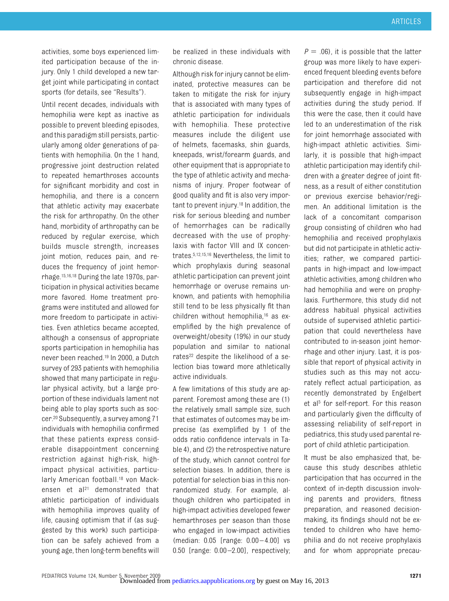activities, some boys experienced limited participation because of the injury. Only 1 child developed a new target joint while participating in contact sports (for details, see "Results").

Until recent decades, individuals with hemophilia were kept as inactive as possible to prevent bleeding episodes, and this paradigm still persists, particularly among older generations of patients with hemophilia. On the 1 hand, progressive joint destruction related to repeated hemarthroses accounts for significant morbidity and cost in hemophilia, and there is a concern that athletic activity may exacerbate the risk for arthropathy. On the other hand, morbidity of arthropathy can be reduced by regular exercise, which builds muscle strength, increases joint motion, reduces pain, and reduces the frequency of joint hemorrhage.15,16,18 During the late 1970s, participation in physical activities became more favored. Home treatment programs were instituted and allowed for more freedom to participate in activities. Even athletics became accepted, although a consensus of appropriate sports participation in hemophilia has never been reached.19 In 2000, a Dutch survey of 293 patients with hemophilia showed that many participate in regular physical activity, but a large proportion of these individuals lament not being able to play sports such as soccer.20 Subsequently, a survey among 71 individuals with hemophilia confirmed that these patients express considerable disappointment concerning restriction against high-risk, highimpact physical activities, particularly American football.<sup>18</sup> von Mackensen et al<sup>21</sup> demonstrated that athletic participation of individuals with hemophilia improves quality of life, causing optimism that if (as suggested by this work) such participation can be safely achieved from a young age, then long-term benefits will

be realized in these individuals with chronic disease.

Although risk for injury cannot be eliminated, protective measures can be taken to mitigate the risk for injury that is associated with many types of athletic participation for individuals with hemophilia. These protective measures include the diligent use of helmets, facemasks, shin guards, kneepads, wrist/forearm guards, and other equipment that is appropriate to the type of athletic activity and mechanisms of injury. Proper footwear of good quality and fit is also very important to prevent injury.18 In addition, the risk for serious bleeding and number of hemorrhages can be radically decreased with the use of prophylaxis with factor VIII and IX concentrates.5,12,15,16 Nevertheless, the limit to which prophylaxis during seasonal athletic participation can prevent joint hemorrhage or overuse remains unknown, and patients with hemophilia still tend to be less physically fit than children without hemophilia,<sup>16</sup> as exemplified by the high prevalence of overweight/obesity (19%) in our study population and similar to national rates<sup>22</sup> despite the likelihood of a selection bias toward more athletically active individuals.

A few limitations of this study are apparent. Foremost among these are (1) the relatively small sample size, such that estimates of outcomes may be imprecise (as exemplified by 1 of the odds ratio confidence intervals in Table 4), and (2) the retrospective nature of the study, which cannot control for selection biases. In addition, there is potential for selection bias in this nonrandomized study. For example, although children who participated in high-impact activities developed fewer hemarthroses per season than those who engaged in low-impact activities (median: 0.05 [range: 0.00 – 4.00] vs 0.50 [range: 0.00 –2.00], respectively;  $P = .06$ , it is possible that the latter group was more likely to have experienced frequent bleeding events before participation and therefore did not subsequently engage in high-impact activities during the study period. If this were the case, then it could have led to an underestimation of the risk for joint hemorrhage associated with high-impact athletic activities. Similarly, it is possible that high-impact athletic participation may identify children with a greater degree of joint fitness, as a result of either constitution or previous exercise behavior/regimen. An additional limitation is the lack of a concomitant comparison group consisting of children who had hemophilia and received prophylaxis but did not participate in athletic activities; rather, we compared participants in high-impact and low-impact athletic activities, among children who had hemophilia and were on prophylaxis. Furthermore, this study did not address habitual physical activities outside of supervised athletic participation that could nevertheless have contributed to in-season joint hemorrhage and other injury. Last, it is possible that report of physical activity in studies such as this may not accurately reflect actual participation, as recently demonstrated by Engelbert et al<sup>5</sup> for self-report. For this reason and particularly given the difficulty of assessing reliability of self-report in pediatrics, this study used parental report of child athletic participation.

It must be also emphasized that, because this study describes athletic participation that has occurred in the context of in-depth discussion involving parents and providers, fitness preparation, and reasoned decisionmaking, its findings should not be extended to children who have hemophilia and do not receive prophylaxis and for whom appropriate precau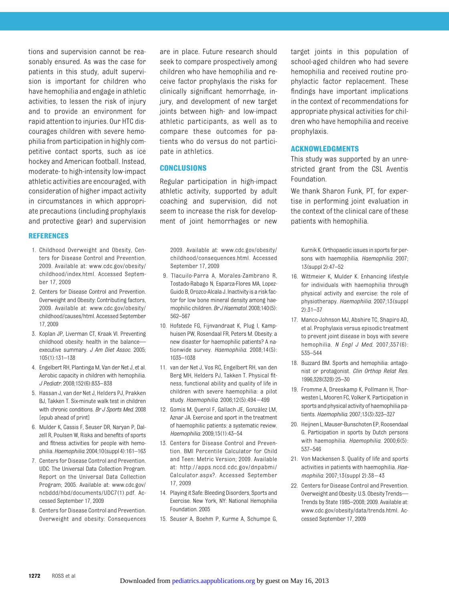tions and supervision cannot be reasonably ensured. As was the case for patients in this study, adult supervision is important for children who have hemophilia and engage in athletic activities, to lessen the risk of injury and to provide an environment for rapid attention to injuries. Our HTC discourages children with severe hemophilia from participation in highly competitive contact sports, such as ice hockey and American football. Instead, moderate- to high-intensity low-impact athletic activities are encouraged, with consideration of higher impact activity in circumstances in which appropriate precautions (including prophylaxis and protective gear) and supervision

### **REFERENCES**

- 1. Childhood Overweight and Obesity, Centers for Disease Control and Prevention. 2009. Available at: www.cdc.gov/obesity/ childhood/index.html. Accessed September 17, 2009
- 2. Centers for Disease Control and Prevention. Overweight and Obesity: Contributing factors, 2009. Available at: www.cdc.gov/obesity/ childhood/causes/html. Accessed September 17, 2009
- 3. Koplan JP, Liverman CT, Kraak VI. Preventing childhood obesity: health in the balance executive summary. *J Am Diet Assoc.* 2005; 105(1):131–138
- 4. Engelbert RH, Plantinga M, Van der Net J, et al. Aerobic capacity in children with hemophilia. *J Pediatr.* 2008;152(6):833–838
- 5. Hassan J, van der Net J, Helders PJ, Prakken BJ, Takken T. Six-minute walk test in children with chronic conditions. *Br J Sports Med.* 2008 [epub ahead of print]
- 6. Mulder K, Cassis F, Seuser DR, Naryan P, Dalzell R, Poulsen W, Risks and benefits of sports and fitness activities for people with hemophilia.*Haemophilia.* 2004;10(suppl 4):161–163
- 7. Centers for Disease Control and Prevention. UDC: The Universal Data Collection Program. Report on the Universal Data Collection Program; 2005. Available at: www.cdc.gov/ ncbddd/hbd/documents/UDC7(1).pdf. Accessed September 17, 2009
- 8. Centers for Disease Control and Prevention. Overweight and obesity: Consequences

are in place. Future research should seek to compare prospectively among children who have hemophilia and receive factor prophylaxis the risks for clinically significant hemorrhage, injury, and development of new target joints between high- and low-impact athletic participants, as well as to compare these outcomes for patients who do versus do not participate in athletics.

## **CONCLUSIONS**

Regular participation in high-impact athletic activity, supported by adult coaching and supervision, did not seem to increase the risk for development of joint hemorrhages or new

2009. Available at: www.cdc.gov/obesity/ childhood/consequences.html. Accessed September 17, 2009

- 9. Tlacuilo-Parra A, Morales-Zambrano R, Tostado-Rabago N, Esparza-Flores MA, Lopez-Guido B, Orozco-Alcala J. Inactivity is a risk factor for low bone mineral density among haemophilic children. *Br J Haematol.* 2008;140(5): 562–567
- 10. Hofstede FG, Fijnvandraat K, Plug I, Kamphuisen PW, Rosendaal FR, Peters M. Obesity: a new disaster for haemophilic patients? A nationwide survey. *Haemophilia.* 2008;14(5): 1035–1038
- 11. van der Net J, Vos RC, Engelbert RH, van den Berg MH, Helders PJ, Takken T. Physical fitness, functional ability and quality of life in children with severe haemophilia: a pilot study. *Haemophilia.* 2006;12(5):494 – 499
- 12. Gomis M, Querol F, Gallach JE, González LM, Aznar JA. Exercise and sport in the treatment of haemophilic patients: a systematic review. *Haemophilia.* 2009;15(1):43–54
- 13. Centers for Disease Control and Prevention. BMI Percentile Calculator for Child and Teen: Metric Version; 2009. Available at: http://apps.nccd.cdc.gov/dnpabmi/ Calculator.aspx?. Accessed September 17, 2009
- 14. Playing it Safe: Bleeding Disorders, Sports and Exercise. New York, NY: National Hemophilia Foundation. 2005
- 15. Seuser A, Boehm P, Kurme A, Schumpe G,

target joints in this population of school-aged children who had severe hemophilia and received routine prophylactic factor replacement. These findings have important implications in the context of recommendations for appropriate physical activities for children who have hemophilia and receive prophylaxis.

### **ACKNOWLEDGMENTS**

This study was supported by an unrestricted grant from the CSL Aventis Foundation.

We thank Sharon Funk, PT, for expertise in performing joint evaluation in the context of the clinical care of these patients with hemophilia.

Kurnik K. Orthopaedic issues in sports for persons with haemophilia. *Haemophilia.* 2007; 13(suppl 2):47–52

- 16. Wittmeier K, Mulder K. Enhancing lifestyle for individuals with haemophilia through physical activity and exercise: the role of physiotherapy. *Haemophilia.* 2007;13(suppl 2):31–37
- 17. Manco-Johnson MJ, Abshire TC, Shapiro AD, et al. Prophylaxis versus episodic treatment to prevent joint disease in boys with severe hemophilia. *N Engl J Med.* 2007;357(6): 535–544
- 18. Buzzard BM. Sports and hemophilia: antagonist or protagonist. *Clin Orthop Relat Res.* 1996;328(328):25–30
- 19. Fromme A, Dreeskamp K, Pollmann H, Thorwesten L, Mooren FC, Volker K. Participation in sports and physical activity of haemophilia patients. *Haemophilia.* 2007;13(3):323–327
- 20. Heijnen L,Mauser-Bunschoten EP, Roosendaal G. Participation in sports by Dutch persons with haemophilia. *Haemophilia.* 2000;6(5): 537–546
- 21. Von Mackensen S. Quality of life and sports activities in patients with haemophilia. *Haemophilia.* 2007;13(suppl 2):38 – 43
- 22. Centers for Disease Control and Prevention. Overweight and Obesity: U.S. Obesity Trends— Trends by State 1985–2008; 2009. Available at: www.cdc.gov/obesity/data/trends.html. Accessed September 17, 2009